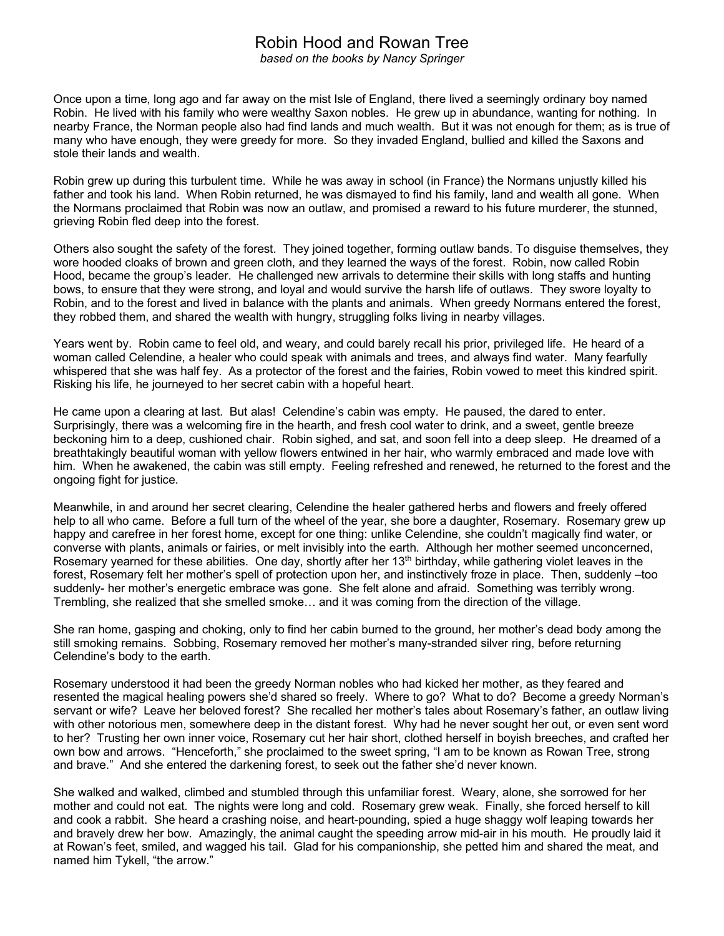## Robin Hood and Rowan Tree

*based on the books by Nancy Springer*

Once upon a time, long ago and far away on the mist Isle of England, there lived a seemingly ordinary boy named Robin. He lived with his family who were wealthy Saxon nobles. He grew up in abundance, wanting for nothing. In nearby France, the Norman people also had find lands and much wealth. But it was not enough for them; as is true of many who have enough, they were greedy for more. So they invaded England, bullied and killed the Saxons and stole their lands and wealth.

Robin grew up during this turbulent time. While he was away in school (in France) the Normans unjustly killed his father and took his land. When Robin returned, he was dismayed to find his family, land and wealth all gone. When the Normans proclaimed that Robin was now an outlaw, and promised a reward to his future murderer, the stunned, grieving Robin fled deep into the forest.

Others also sought the safety of the forest. They joined together, forming outlaw bands. To disguise themselves, they wore hooded cloaks of brown and green cloth, and they learned the ways of the forest. Robin, now called Robin Hood, became the group's leader. He challenged new arrivals to determine their skills with long staffs and hunting bows, to ensure that they were strong, and loyal and would survive the harsh life of outlaws. They swore loyalty to Robin, and to the forest and lived in balance with the plants and animals. When greedy Normans entered the forest, they robbed them, and shared the wealth with hungry, struggling folks living in nearby villages.

Years went by. Robin came to feel old, and weary, and could barely recall his prior, privileged life. He heard of a woman called Celendine, a healer who could speak with animals and trees, and always find water. Many fearfully whispered that she was half fey. As a protector of the forest and the fairies, Robin vowed to meet this kindred spirit. Risking his life, he journeyed to her secret cabin with a hopeful heart.

He came upon a clearing at last. But alas! Celendine's cabin was empty. He paused, the dared to enter. Surprisingly, there was a welcoming fire in the hearth, and fresh cool water to drink, and a sweet, gentle breeze beckoning him to a deep, cushioned chair. Robin sighed, and sat, and soon fell into a deep sleep. He dreamed of a breathtakingly beautiful woman with yellow flowers entwined in her hair, who warmly embraced and made love with him. When he awakened, the cabin was still empty. Feeling refreshed and renewed, he returned to the forest and the ongoing fight for justice.

Meanwhile, in and around her secret clearing, Celendine the healer gathered herbs and flowers and freely offered help to all who came. Before a full turn of the wheel of the year, she bore a daughter, Rosemary. Rosemary grew up happy and carefree in her forest home, except for one thing: unlike Celendine, she couldn't magically find water, or converse with plants, animals or fairies, or melt invisibly into the earth. Although her mother seemed unconcerned, Rosemary yearned for these abilities. One day, shortly after her  $13<sup>th</sup>$  birthday, while gathering violet leaves in the forest, Rosemary felt her mother's spell of protection upon her, and instinctively froze in place. Then, suddenly –too suddenly- her mother's energetic embrace was gone. She felt alone and afraid. Something was terribly wrong. Trembling, she realized that she smelled smoke… and it was coming from the direction of the village.

She ran home, gasping and choking, only to find her cabin burned to the ground, her mother's dead body among the still smoking remains. Sobbing, Rosemary removed her mother's many-stranded silver ring, before returning Celendine's body to the earth.

Rosemary understood it had been the greedy Norman nobles who had kicked her mother, as they feared and resented the magical healing powers she'd shared so freely. Where to go? What to do? Become a greedy Norman's servant or wife? Leave her beloved forest? She recalled her mother's tales about Rosemary's father, an outlaw living with other notorious men, somewhere deep in the distant forest. Why had he never sought her out, or even sent word to her? Trusting her own inner voice, Rosemary cut her hair short, clothed herself in boyish breeches, and crafted her own bow and arrows. "Henceforth," she proclaimed to the sweet spring, "I am to be known as Rowan Tree, strong and brave." And she entered the darkening forest, to seek out the father she'd never known.

She walked and walked, climbed and stumbled through this unfamiliar forest. Weary, alone, she sorrowed for her mother and could not eat. The nights were long and cold. Rosemary grew weak. Finally, she forced herself to kill and cook a rabbit. She heard a crashing noise, and heart-pounding, spied a huge shaggy wolf leaping towards her and bravely drew her bow. Amazingly, the animal caught the speeding arrow mid-air in his mouth. He proudly laid it at Rowan's feet, smiled, and wagged his tail. Glad for his companionship, she petted him and shared the meat, and named him Tykell, "the arrow."